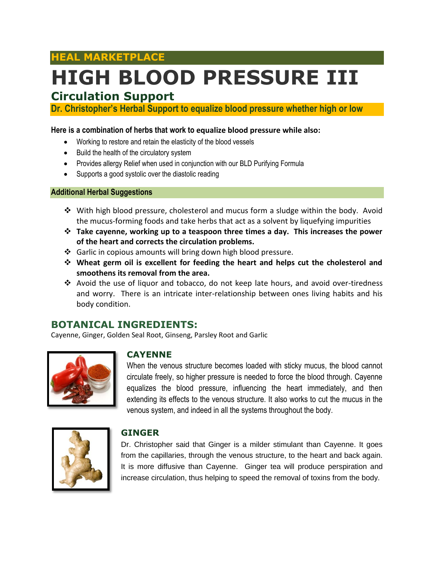## **HEAL MARKETPLACE**

# **HIGH BLOOD PRESSURE III**

# **Circulation Support**

**Dr. Christopher's Herbal Support to equalize blood pressure whether high or low**

#### **Here is a combination of herbs that work to equalize blood pressure while also:**

- Working to restore and retain the elasticity of the blood vessels
- Build the health of the circulatory system
- Provides allergy Relief when used in conjunction with our BLD Purifying Formula
- Supports a good systolic over the diastolic reading

#### **Additional Herbal Suggestions**

- $\div$  With high blood pressure, cholesterol and mucus form a sludge within the body. Avoid the mucus-forming foods and take herbs that act as a solvent by liquefying impurities
- **Take cayenne, working up to a teaspoon three times a day. This increases the power of the heart and corrects the circulation problems.**
- ❖ Garlic in copious amounts will bring down high blood pressure.
- **Wheat germ oil is excellent for feeding the heart and helps cut the cholesterol and smoothens its removal from the area.**
- Avoid the use of liquor and tobacco, do not keep late hours, and avoid over-tiredness and worry. There is an intricate inter-relationship between ones living habits and his body condition.

## **BOTANICAL INGREDIENTS:**

Cayenne, Ginger, Golden Seal Root, Ginseng, Parsley Root and Garlic



#### **CAYENNE**

When the venous structure becomes loaded with sticky mucus, the blood cannot circulate freely, so higher pressure is needed to force the blood through. Cayenne equalizes the blood pressure, influencing the heart immediately, and then extending its effects to the venous structure. It also works to cut the mucus in the venous system, and indeed in all the systems throughout the body.



#### **GINGER**

Dr. Christopher said that Ginger is a milder stimulant than Cayenne. It goes from the capillaries, through the venous structure, to the heart and back again. It is more diffusive than Cayenne. Ginger tea will produce perspiration and increase circulation, thus helping to speed the removal of toxins from the body.